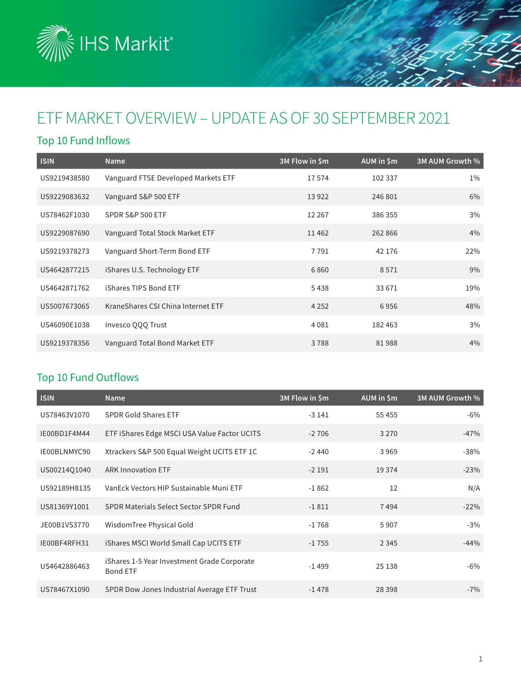

# ETF MARKET OVERVIEW – UPDATE AS OF 30 SEPTEMBER 2021

### Top 10 Fund Inflows

| <b>ISIN</b>  | <b>Name</b>                         | 3M Flow in \$m | AUM in \$m | 3M AUM Growth % |
|--------------|-------------------------------------|----------------|------------|-----------------|
| US9219438580 | Vanguard FTSE Developed Markets ETF | 17574          | 102 337    | $1\%$           |
| US9229083632 | Vanguard S&P 500 ETF                | 13 9 22        | 246 801    | 6%              |
| US78462F1030 | SPDR S&P 500 ETF                    | 12 2 6 7       | 386 355    | 3%              |
| US9229087690 | Vanguard Total Stock Market ETF     | 11462          | 262 866    | 4%              |
| US9219378273 | Vanguard Short-Term Bond ETF        | 7791           | 42 176     | 22%             |
| US4642877215 | iShares U.S. Technology ETF         | 6860           | 8571       | 9%              |
| US4642871762 | iShares TIPS Bond ETF               | 5438           | 33 671     | 19%             |
| US5007673065 | KraneShares CSI China Internet ETF  | 4 2 5 2        | 6956       | 48%             |
| US46090E1038 | Invesco QQQ Trust                   | 4081           | 182 463    | 3%              |
| US9219378356 | Vanguard Total Bond Market ETF      | 3788           | 81988      | 4%              |

### Top 10 Fund Outflows

| <b>ISIN</b>  | <b>Name</b>                                                    | 3M Flow in \$m | AUM in \$m | 3M AUM Growth % |
|--------------|----------------------------------------------------------------|----------------|------------|-----------------|
| US78463V1070 | <b>SPDR Gold Shares ETF</b>                                    | $-3141$        | 55 455     | $-6\%$          |
| IE00BD1F4M44 | ETF iShares Edge MSCI USA Value Factor UCITS                   | $-2706$        | 3 2 7 0    | $-47%$          |
| IE00BLNMYC90 | Xtrackers S&P 500 Equal Weight UCITS ETF 1C                    | $-2440$        | 3969       | $-38%$          |
| US00214Q1040 | <b>ARK Innovation ETF</b>                                      | $-2191$        | 19 3 74    | $-23%$          |
| US92189H8135 | VanEck Vectors HIP Sustainable Muni ETF                        | $-1862$        | 12         | N/A             |
| US81369Y1001 | SPDR Materials Select Sector SPDR Fund                         | $-1811$        | 7494       | $-22%$          |
| JE00B1VS3770 | WisdomTree Physical Gold                                       | $-1768$        | 5907       | $-3%$           |
| IE00BF4RFH31 | iShares MSCI World Small Cap UCITS ETF                         | $-1755$        | 2 3 4 5    | $-44%$          |
| US4642886463 | iShares 1-5 Year Investment Grade Corporate<br><b>Bond ETF</b> | $-1499$        | 25 138     | $-6\%$          |
| US78467X1090 | SPDR Dow Jones Industrial Average ETF Trust                    | $-1478$        | 28 3 98    | $-7%$           |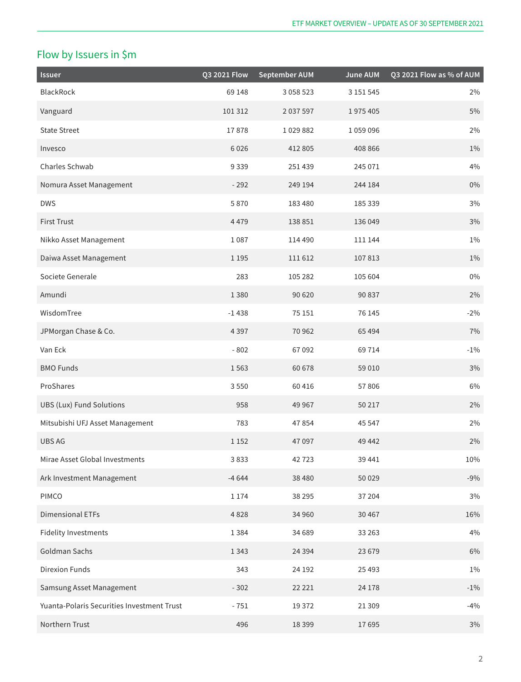# Flow by Issuers in \$m

| <b>Issuer</b>                              | Q3 2021 Flow | <b>September AUM</b> | <b>June AUM</b> | Q3 2021 Flow as % of AUM |
|--------------------------------------------|--------------|----------------------|-----------------|--------------------------|
| BlackRock                                  | 69 148       | 3 0 5 8 5 2 3        | 3 151 545       | $2\%$                    |
| Vanguard                                   | 101312       | 2 037 597            | 1975405         | 5%                       |
| <b>State Street</b>                        | 17878        | 1029882              | 1059096         | $2\%$                    |
| Invesco                                    | 6026         | 412 805              | 408 866         | $1\%$                    |
| Charles Schwab                             | 9339         | 251 439              | 245 071         | 4%                       |
| Nomura Asset Management                    | $-292$       | 249 194              | 244 184         | $0\%$                    |
| <b>DWS</b>                                 | 5870         | 183 480              | 185 339         | 3%                       |
| <b>First Trust</b>                         | 4479         | 138 851              | 136 049         | $3\%$                    |
| Nikko Asset Management                     | 1087         | 114 490              | 111 144         | $1\%$                    |
| Daiwa Asset Management                     | 1 1 9 5      | 111612               | 107813          | $1\%$                    |
| Societe Generale                           | 283          | 105 282              | 105 604         | $0\%$                    |
| Amundi                                     | 1380         | 90 620               | 90 837          | $2\%$                    |
| WisdomTree                                 | $-1438$      | 75 151               | 76 145          | $-2%$                    |
| JPMorgan Chase & Co.                       | 4397         | 70 962               | 65 4 94         | 7%                       |
| Van Eck                                    | $-802$       | 67092                | 69 714          | $-1\%$                   |
| <b>BMO Funds</b>                           | 1563         | 60 678               | 59 010          | $3\%$                    |
| ProShares                                  | 3550         | 60416                | 57806           | $6\%$                    |
| <b>UBS (Lux) Fund Solutions</b>            | 958          | 49 9 67              | 50 217          | 2%                       |
| Mitsubishi UFJ Asset Management            | 783          | 47854                | 45 547          | 2%                       |
| <b>UBS AG</b>                              | 1 1 5 2      | 47097                | 49 442          | 2%                       |
| Mirae Asset Global Investments             | 3833         | 42723                | 39 441          | 10%                      |
| Ark Investment Management                  | $-4644$      | 38 4 8 0             | 50 0 29         | $-9%$                    |
| PIMCO                                      | 1 1 7 4      | 38 295               | 37 204          | 3%                       |
| <b>Dimensional ETFs</b>                    | 4828         | 34 960               | 30 467          | 16%                      |
| <b>Fidelity Investments</b>                | 1384         | 34 689               | 33 26 3         | 4%                       |
| Goldman Sachs                              | 1343         | 24 3 94              | 23 679          | $6\%$                    |
| Direxion Funds                             | 343          | 24 192               | 25 4 93         | $1\%$                    |
| Samsung Asset Management                   | $-302$       | 22 2 2 1             | 24 178          | $-1\%$                   |
| Yuanta-Polaris Securities Investment Trust | $-751$       | 19372                | 21 309          | $-4%$                    |
| Northern Trust                             | 496          | 18399                | 17695           | $3\%$                    |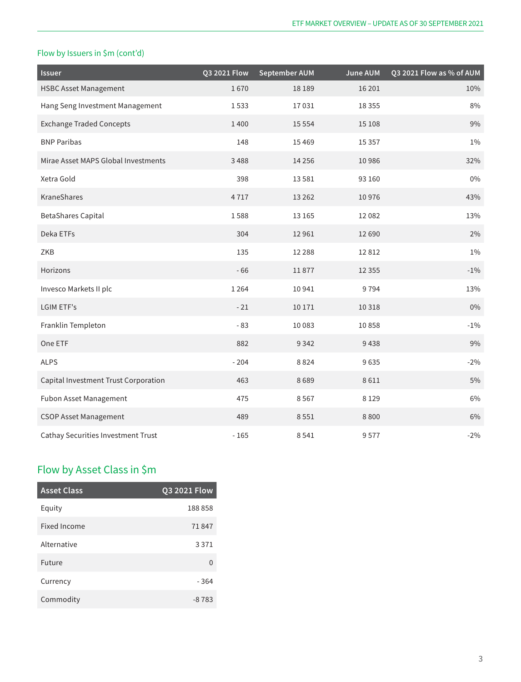#### Flow by Issuers in \$m (cont'd)

| <b>Issuer</b>                        | Q3 2021 Flow | <b>September AUM</b> | <b>June AUM</b> | Q3 2021 Flow as % of AUM |
|--------------------------------------|--------------|----------------------|-----------------|--------------------------|
| <b>HSBC Asset Management</b>         | 1670         | 18 18 9              | 16 20 1         | 10%                      |
| Hang Seng Investment Management      | 1533         | 17031                | 18 3 5 5        | 8%                       |
| <b>Exchange Traded Concepts</b>      | 1400         | 15 5 5 4             | 15 108          | 9%                       |
| <b>BNP Paribas</b>                   | 148          | 15 4 69              | 15 3 5 7        | $1\%$                    |
| Mirae Asset MAPS Global Investments  | 3488         | 14 2 5 6             | 10986           | 32%                      |
| Xetra Gold                           | 398          | 13581                | 93 160          | $0\%$                    |
| KraneShares                          | 4717         | 13 2 6 2             | 10976           | 43%                      |
| <b>BetaShares Capital</b>            | 1588         | 13 16 5              | 12 082          | 13%                      |
| Deka ETFs                            | 304          | 12961                | 12 6 9 0        | 2%                       |
| ZKB                                  | 135          | 12 2 8 8             | 12812           | $1\%$                    |
| Horizons                             | $-66$        | 11877                | 12 3 5 5        | $-1\%$                   |
| Invesco Markets II plc               | 1 2 6 4      | 10941                | 9794            | 13%                      |
| <b>LGIM ETF's</b>                    | $-21$        | 10 17 1              | 10 3 18         | $0\%$                    |
| Franklin Templeton                   | $-83$        | 10 083               | 10858           | $-1\%$                   |
| One ETF                              | 882          | 9342                 | 9438            | 9%                       |
| <b>ALPS</b>                          | $-204$       | 8824                 | 9635            | $-2%$                    |
| Capital Investment Trust Corporation | 463          | 8689                 | 8611            | 5%                       |
| Fubon Asset Management               | 475          | 8567                 | 8 1 2 9         | 6%                       |
| <b>CSOP Asset Management</b>         | 489          | 8551                 | 8800            | 6%                       |
| Cathay Securities Investment Trust   | $-165$       | 8541                 | 9577            | $-2%$                    |

## Flow by Asset Class in \$m

| <b>Asset Class</b> | <b>Q3 2021 Flow</b> |
|--------------------|---------------------|
| Equity             | 188858              |
| Fixed Income       | 71847               |
| Alternative        | 3 3 7 1             |
| Future             | U                   |
| Currency           | $-364$              |
| Commodity          | $-8783$             |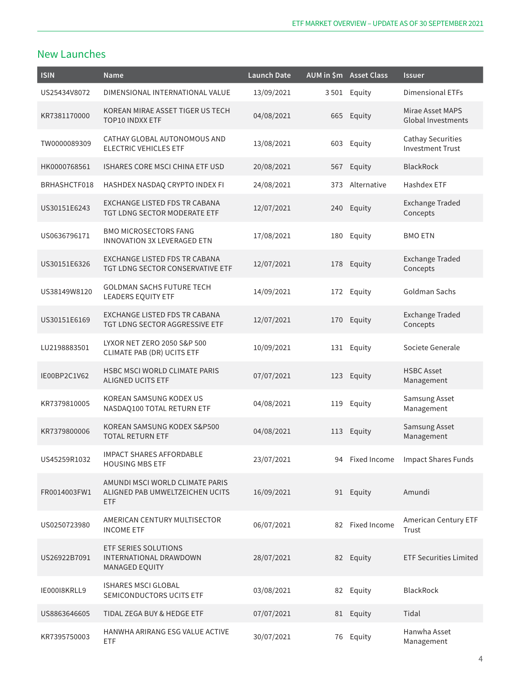### New Launches

| <b>ISIN</b>  | Name                                                                      | <b>Launch Date</b> |     | AUM in \$m Asset Class | <b>Issuer</b>                                       |
|--------------|---------------------------------------------------------------------------|--------------------|-----|------------------------|-----------------------------------------------------|
| US25434V8072 | DIMENSIONAL INTERNATIONAL VALUE                                           | 13/09/2021         |     | 3501 Equity            | <b>Dimensional ETFs</b>                             |
| KR7381170000 | KOREAN MIRAE ASSET TIGER US TECH<br><b>TOP10 INDXX ETF</b>                | 04/08/2021         |     | 665 Equity             | Mirae Asset MAPS<br><b>Global Investments</b>       |
| TW0000089309 | CATHAY GLOBAL AUTONOMOUS AND<br><b>ELECTRIC VEHICLES ETF</b>              | 13/08/2021         | 603 | Equity                 | <b>Cathay Securities</b><br><b>Investment Trust</b> |
| HK0000768561 | ISHARES CORE MSCI CHINA ETF USD                                           | 20/08/2021         |     | 567 Equity             | <b>BlackRock</b>                                    |
| BRHASHCTF018 | HASHDEX NASDAQ CRYPTO INDEX FI                                            | 24/08/2021         | 373 | Alternative            | <b>Hashdex ETF</b>                                  |
| US30151E6243 | EXCHANGE LISTED FDS TR CABANA<br>TGT LDNG SECTOR MODERATE ETF             | 12/07/2021         |     | 240 Equity             | <b>Exchange Traded</b><br>Concepts                  |
| US0636796171 | <b>BMO MICROSECTORS FANG</b><br><b>INNOVATION 3X LEVERAGED ETN</b>        | 17/08/2021         | 180 | Equity                 | <b>BMO ETN</b>                                      |
| US30151E6326 | EXCHANGE LISTED FDS TR CABANA<br>TGT LDNG SECTOR CONSERVATIVE ETF         | 12/07/2021         |     | 178 Equity             | <b>Exchange Traded</b><br>Concepts                  |
| US38149W8120 | <b>GOLDMAN SACHS FUTURE TECH</b><br><b>LEADERS EQUITY ETF</b>             | 14/09/2021         |     | 172 Equity             | Goldman Sachs                                       |
| US30151E6169 | EXCHANGE LISTED FDS TR CABANA<br>TGT LDNG SECTOR AGGRESSIVE ETF           | 12/07/2021         | 170 | Equity                 | <b>Exchange Traded</b><br>Concepts                  |
| LU2198883501 | LYXOR NET ZERO 2050 S&P 500<br><b>CLIMATE PAB (DR) UCITS ETF</b>          | 10/09/2021         |     | 131 Equity             | Societe Generale                                    |
| IE00BP2C1V62 | <b>HSBC MSCI WORLD CLIMATE PARIS</b><br><b>ALIGNED UCITS ETF</b>          | 07/07/2021         |     | 123 Equity             | <b>HSBC Asset</b><br>Management                     |
| KR7379810005 | KOREAN SAMSUNG KODEX US<br>NASDAQ100 TOTAL RETURN ETF                     | 04/08/2021         | 119 | Equity                 | Samsung Asset<br>Management                         |
| KR7379800006 | KOREAN SAMSUNG KODEX S&P500<br><b>TOTAL RETURN ETF</b>                    | 04/08/2021         |     | 113 Equity             | Samsung Asset<br>Management                         |
| US45259R1032 | <b>IMPACT SHARES AFFORDABLE</b><br><b>HOUSING MBS ETF</b>                 | 23/07/2021         |     |                        | 94 Fixed Income Impact Shares Funds                 |
| FR0014003FW1 | AMUNDI MSCI WORLD CLIMATE PARIS<br>ALIGNED PAB UMWELTZEICHEN UCITS<br>ETF | 16/09/2021         |     | 91 Equity              | Amundi                                              |
| US0250723980 | AMERICAN CENTURY MULTISECTOR<br><b>INCOME ETF</b>                         | 06/07/2021         | 82  | Fixed Income           | American Century ETF<br>Trust                       |
| US26922B7091 | ETF SERIES SOLUTIONS<br><b>INTERNATIONAL DRAWDOWN</b><br>MANAGED EQUITY   | 28/07/2021         |     | 82 Equity              | <b>ETF Securities Limited</b>                       |
| IE000I8KRLL9 | <b>ISHARES MSCI GLOBAL</b><br>SEMICONDUCTORS UCITS ETF                    | 03/08/2021         |     | 82 Equity              | BlackRock                                           |
| US8863646605 | TIDAL ZEGA BUY & HEDGE ETF                                                | 07/07/2021         |     | 81 Equity              | Tidal                                               |
| KR7395750003 | HANWHA ARIRANG ESG VALUE ACTIVE<br>ETF                                    | 30/07/2021         |     | 76 Equity              | Hanwha Asset<br>Management                          |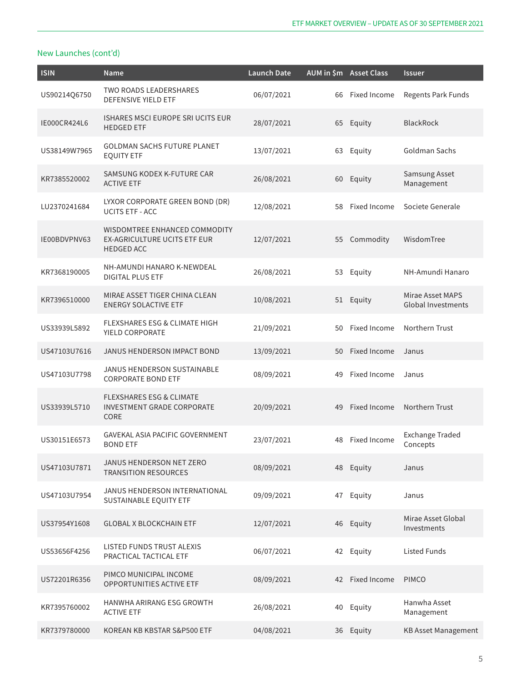| <b>ISIN</b>  | Name                                                                                      | <b>Launch Date</b> |    | AUM in \$m Asset Class | <b>Issuer</b>                          |
|--------------|-------------------------------------------------------------------------------------------|--------------------|----|------------------------|----------------------------------------|
| US90214Q6750 | <b>TWO ROADS LEADERSHARES</b><br><b>DEFENSIVE YIELD ETF</b>                               | 06/07/2021         | 66 | Fixed Income           | Regents Park Funds                     |
| IE000CR424L6 | <b>ISHARES MSCI EUROPE SRI UCITS EUR</b><br><b>HEDGED ETF</b>                             | 28/07/2021         |    | 65 Equity              | <b>BlackRock</b>                       |
| US38149W7965 | <b>GOLDMAN SACHS FUTURE PLANET</b><br><b>EQUITY ETF</b>                                   | 13/07/2021         | 63 | Equity                 | Goldman Sachs                          |
| KR7385520002 | SAMSUNG KODEX K-FUTURE CAR<br><b>ACTIVE ETF</b>                                           | 26/08/2021         | 60 | Equity                 | Samsung Asset<br>Management            |
| LU2370241684 | LYXOR CORPORATE GREEN BOND (DR)<br><b>UCITS ETF - ACC</b>                                 | 12/08/2021         | 58 | Fixed Income           | Societe Generale                       |
| IE00BDVPNV63 | WISDOMTREE ENHANCED COMMODITY<br><b>EX-AGRICULTURE UCITS ETF EUR</b><br><b>HEDGED ACC</b> | 12/07/2021         | 55 | Commodity              | WisdomTree                             |
| KR7368190005 | NH-AMUNDI HANARO K-NEWDEAL<br><b>DIGITAL PLUS ETF</b>                                     | 26/08/2021         | 53 | Equity                 | NH-Amundi Hanaro                       |
| KR7396510000 | MIRAE ASSET TIGER CHINA CLEAN<br><b>ENERGY SOLACTIVE ETF</b>                              | 10/08/2021         |    | 51 Equity              | Mirae Asset MAPS<br>Global Investments |
| US33939L5892 | <b>FLEXSHARES ESG &amp; CLIMATE HIGH</b><br>YIELD CORPORATE                               | 21/09/2021         | 50 | Fixed Income           | Northern Trust                         |
| US47103U7616 | JANUS HENDERSON IMPACT BOND                                                               | 13/09/2021         | 50 | Fixed Income           | Janus                                  |
| US47103U7798 | JANUS HENDERSON SUSTAINABLE<br><b>CORPORATE BOND ETF</b>                                  | 08/09/2021         | 49 | Fixed Income           | Janus                                  |
| US33939L5710 | <b>FLEXSHARES ESG &amp; CLIMATE</b><br><b>INVESTMENT GRADE CORPORATE</b><br><b>CORE</b>   | 20/09/2021         | 49 | <b>Fixed Income</b>    | Northern Trust                         |
| US30151E6573 | GAVEKAL ASIA PACIFIC GOVERNMENT<br><b>BOND ETF</b>                                        | 23/07/2021         | 48 | Fixed Income           | <b>Exchange Traded</b><br>Concepts     |
| US47103U7871 | JANUS HENDERSON NET ZERO<br><b>TRANSITION RESOURCES</b>                                   | 08/09/2021         |    | 48 Equity              | Janus                                  |
| US47103U7954 | JANUS HENDERSON INTERNATIONAL<br>SUSTAINABLE EQUITY ETF                                   | 09/09/2021         |    | 47 Equity              | Janus                                  |
| US37954Y1608 | <b>GLOBAL X BLOCKCHAIN ETF</b>                                                            | 12/07/2021         |    | 46 Equity              | Mirae Asset Global<br>Investments      |
| US53656F4256 | LISTED FUNDS TRUST ALEXIS<br>PRACTICAL TACTICAL ETF                                       | 06/07/2021         |    | 42 Equity              | <b>Listed Funds</b>                    |
| US72201R6356 | PIMCO MUNICIPAL INCOME<br>OPPORTUNITIES ACTIVE ETF                                        | 08/09/2021         |    | 42 Fixed Income        | <b>PIMCO</b>                           |
| KR7395760002 | HANWHA ARIRANG ESG GROWTH<br><b>ACTIVE ETF</b>                                            | 26/08/2021         | 40 | Equity                 | Hanwha Asset<br>Management             |
| KR7379780000 | KOREAN KB KBSTAR S&P500 ETF                                                               | 04/08/2021         | 36 | Equity                 | <b>KB Asset Management</b>             |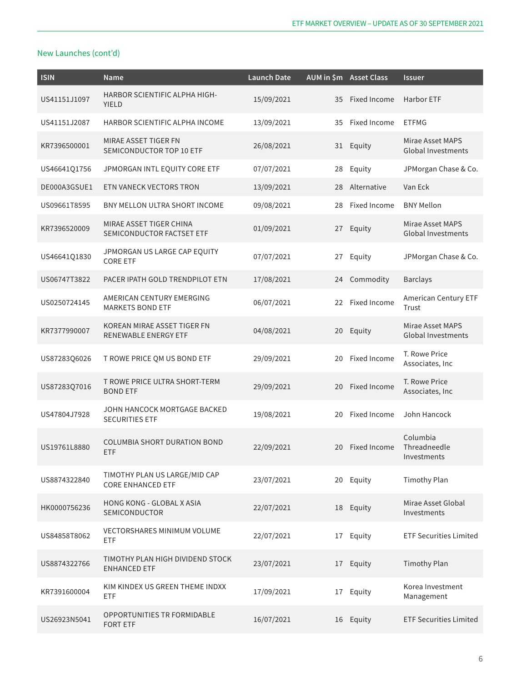| <b>ISIN</b>  | Name                                                      | <b>Launch Date</b> |    | AUM in \$m Asset Class | <b>Issuer</b>                                 |
|--------------|-----------------------------------------------------------|--------------------|----|------------------------|-----------------------------------------------|
| US41151J1097 | HARBOR SCIENTIFIC ALPHA HIGH-<br><b>YIELD</b>             | 15/09/2021         | 35 | Fixed Income           | <b>Harbor ETF</b>                             |
| US41151J2087 | HARBOR SCIENTIFIC ALPHA INCOME                            | 13/09/2021         | 35 | Fixed Income           | <b>ETFMG</b>                                  |
| KR7396500001 | MIRAE ASSET TIGER FN<br>SEMICONDUCTOR TOP 10 ETF          | 26/08/2021         |    | 31 Equity              | Mirae Asset MAPS<br><b>Global Investments</b> |
| US4664101756 | JPMORGAN INTL EQUITY CORE ETF                             | 07/07/2021         | 28 | Equity                 | JPMorgan Chase & Co.                          |
| DE000A3GSUE1 | ETN VANECK VECTORS TRON                                   | 13/09/2021         | 28 | Alternative            | Van Eck                                       |
| US09661T8595 | BNY MELLON ULTRA SHORT INCOME                             | 09/08/2021         | 28 | Fixed Income           | <b>BNY Mellon</b>                             |
| KR7396520009 | MIRAE ASSET TIGER CHINA<br>SEMICONDUCTOR FACTSET ETF      | 01/09/2021         |    | 27 Equity              | Mirae Asset MAPS<br><b>Global Investments</b> |
| US46641Q1830 | JPMORGAN US LARGE CAP EQUITY<br><b>CORE ETF</b>           | 07/07/2021         | 27 | Equity                 | JPMorgan Chase & Co.                          |
| US06747T3822 | PACER IPATH GOLD TRENDPILOT ETN                           | 17/08/2021         | 24 | Commodity              | <b>Barclays</b>                               |
| US0250724145 | AMERICAN CENTURY EMERGING<br><b>MARKETS BOND ETF</b>      | 06/07/2021         | 22 | Fixed Income           | American Century ETF<br>Trust                 |
| KR7377990007 | KOREAN MIRAE ASSET TIGER FN<br>RENEWABLE ENERGY ETF       | 04/08/2021         | 20 | Equity                 | Mirae Asset MAPS<br><b>Global Investments</b> |
| US87283Q6026 | T ROWE PRICE QM US BOND ETF                               | 29/09/2021         | 20 | Fixed Income           | T. Rowe Price<br>Associates, Inc              |
| US87283Q7016 | T ROWE PRICE ULTRA SHORT-TERM<br><b>BOND ETF</b>          | 29/09/2021         | 20 | Fixed Income           | T. Rowe Price<br>Associates, Inc              |
| US47804J7928 | JOHN HANCOCK MORTGAGE BACKED<br><b>SECURITIES ETF</b>     | 19/08/2021         | 20 | Fixed Income           | John Hancock                                  |
| US19761L8880 | <b>COLUMBIA SHORT DURATION BOND</b><br><b>ETF</b>         | 22/09/2021         | 20 | Fixed Income           | Columbia<br>Threadneedle<br>Investments       |
| US8874322840 | TIMOTHY PLAN US LARGE/MID CAP<br><b>CORE ENHANCED ETF</b> | 23/07/2021         |    | 20 Equity              | <b>Timothy Plan</b>                           |
| HK0000756236 | <b>HONG KONG - GLOBAL X ASIA</b><br><b>SEMICONDUCTOR</b>  | 22/07/2021         |    | 18 Equity              | Mirae Asset Global<br>Investments             |
| US84858T8062 | <b>VECTORSHARES MINIMUM VOLUME</b><br>ETF                 | 22/07/2021         | 17 | Equity                 | <b>ETF Securities Limited</b>                 |
| US8874322766 | TIMOTHY PLAN HIGH DIVIDEND STOCK<br><b>ENHANCED ETF</b>   | 23/07/2021         |    | 17 Equity              | <b>Timothy Plan</b>                           |
| KR7391600004 | KIM KINDEX US GREEN THEME INDXX<br>ETF                    | 17/09/2021         | 17 | Equity                 | Korea Investment<br>Management                |
| US26923N5041 | OPPORTUNITIES TR FORMIDABLE<br><b>FORT ETF</b>            | 16/07/2021         |    | 16 Equity              | <b>ETF Securities Limited</b>                 |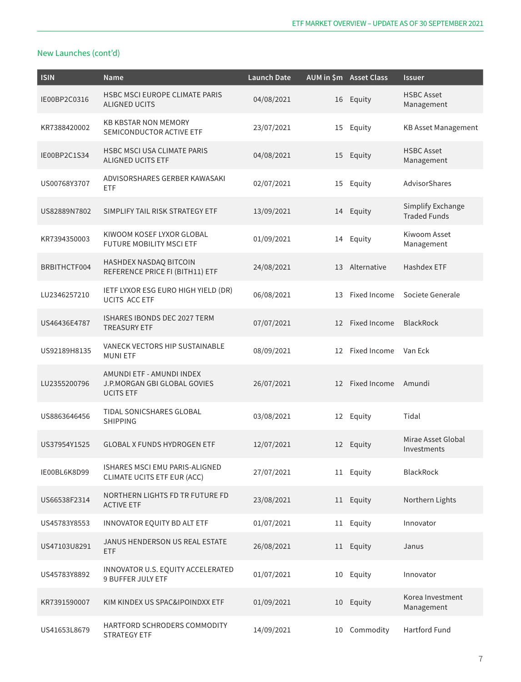| <b>ISIN</b>  | <b>Name</b>                                                                   | <b>Launch Date</b> |    | AUM in \$m Asset Class | <b>Issuer</b>                            |
|--------------|-------------------------------------------------------------------------------|--------------------|----|------------------------|------------------------------------------|
| IE00BP2C0316 | HSBC MSCI EUROPE CLIMATE PARIS<br><b>ALIGNED UCITS</b>                        | 04/08/2021         |    | 16 Equity              | <b>HSBC Asset</b><br>Management          |
| KR7388420002 | <b>KB KBSTAR NON MEMORY</b><br>SEMICONDUCTOR ACTIVE ETF                       | 23/07/2021         | 15 | Equity                 | <b>KB Asset Management</b>               |
| IE00BP2C1S34 | <b>HSBC MSCI USA CLIMATE PARIS</b><br><b>ALIGNED UCITS ETF</b>                | 04/08/2021         |    | 15 Equity              | <b>HSBC Asset</b><br>Management          |
| US00768Y3707 | ADVISORSHARES GERBER KAWASAKI<br>ETF                                          | 02/07/2021         | 15 | Equity                 | AdvisorShares                            |
| US82889N7802 | SIMPLIFY TAIL RISK STRATEGY ETF                                               | 13/09/2021         |    | 14 Equity              | Simplify Exchange<br><b>Traded Funds</b> |
| KR7394350003 | KIWOOM KOSEF LYXOR GLOBAL<br><b>FUTURE MOBILITY MSCI ETF</b>                  | 01/09/2021         | 14 | Equity                 | Kiwoom Asset<br>Management               |
| BRBITHCTF004 | HASHDEX NASDAQ BITCOIN<br>REFERENCE PRICE FI (BITH11) ETF                     | 24/08/2021         | 13 | Alternative            | Hashdex ETF                              |
| LU2346257210 | IETF LYXOR ESG EURO HIGH YIELD (DR)<br><b>UCITS ACC ETF</b>                   | 06/08/2021         | 13 | Fixed Income           | Societe Generale                         |
| US46436E4787 | ISHARES IBONDS DEC 2027 TERM<br><b>TREASURY ETF</b>                           | 07/07/2021         |    | 12 Fixed Income        | <b>BlackRock</b>                         |
| US92189H8135 | VANECK VECTORS HIP SUSTAINABLE<br><b>MUNIETF</b>                              | 08/09/2021         | 12 | Fixed Income           | Van Eck                                  |
| LU2355200796 | AMUNDI ETF - AMUNDI INDEX<br>J.P.MORGAN GBI GLOBAL GOVIES<br><b>UCITS ETF</b> | 26/07/2021         |    | 12 Fixed Income        | Amundi                                   |
| US8863646456 | <b>TIDAL SONICSHARES GLOBAL</b><br><b>SHIPPING</b>                            | 03/08/2021         | 12 | Equity                 | Tidal                                    |
| US37954Y1525 | <b>GLOBAL X FUNDS HYDROGEN ETF</b>                                            | 12/07/2021         |    | 12 Equity              | Mirae Asset Global<br>Investments        |
| IE00BL6K8D99 | ISHARES MSCI EMU PARIS-ALIGNED<br><b>CLIMATE UCITS ETF EUR (ACC)</b>          | 27/07/2021         |    | 11 Equity              | <b>BlackRock</b>                         |
| US66538F2314 | NORTHERN LIGHTS FD TR FUTURE FD<br><b>ACTIVE ETF</b>                          | 23/08/2021         |    | 11 Equity              | Northern Lights                          |
| US45783Y8553 | INNOVATOR EQUITY BD ALT ETF                                                   | 01/07/2021         |    | 11 Equity              | Innovator                                |
| US47103U8291 | JANUS HENDERSON US REAL ESTATE<br>ETF                                         | 26/08/2021         |    | 11 Equity              | Janus                                    |
| US45783Y8892 | INNOVATOR U.S. EQUITY ACCELERATED<br><b>9 BUFFER JULY ETF</b>                 | 01/07/2021         |    | 10 Equity              | Innovator                                |
| KR7391590007 | KIM KINDEX US SPAC&IPOINDXX ETF                                               | 01/09/2021         |    | 10 Equity              | Korea Investment<br>Management           |
| US41653L8679 | HARTFORD SCHRODERS COMMODITY<br><b>STRATEGY ETF</b>                           | 14/09/2021         | 10 | Commodity              | Hartford Fund                            |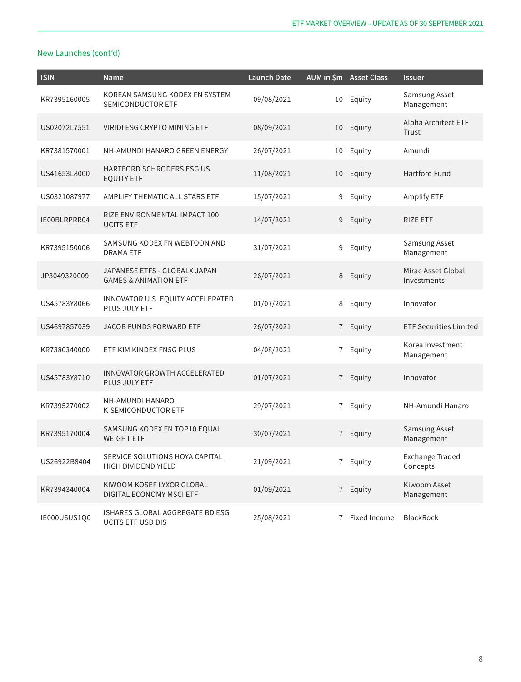| <b>ISIN</b>  | Name                                                              | <b>Launch Date</b> |                | AUM in \$m Asset Class | <b>Issuer</b>                      |
|--------------|-------------------------------------------------------------------|--------------------|----------------|------------------------|------------------------------------|
| KR7395160005 | KOREAN SAMSUNG KODEX FN SYSTEM<br><b>SEMICONDUCTOR ETF</b>        | 09/08/2021         | 10             | Equity                 | Samsung Asset<br>Management        |
| US02072L7551 | VIRIDI ESG CRYPTO MINING ETF                                      | 08/09/2021         | 10             | Equity                 | Alpha Architect ETF<br>Trust       |
| KR7381570001 | NH-AMUNDI HANARO GREEN ENERGY                                     | 26/07/2021         | 10             | Equity                 | Amundi                             |
| US41653L8000 | <b>HARTFORD SCHRODERS ESG US</b><br><b>EQUITY ETF</b>             | 11/08/2021         | 10             | Equity                 | <b>Hartford Fund</b>               |
| US0321087977 | AMPLIFY THEMATIC ALL STARS ETF                                    | 15/07/2021         | 9              | Equity                 | Amplify ETF                        |
| IE00BLRPRR04 | RIZE ENVIRONMENTAL IMPACT 100<br><b>UCITS ETF</b>                 | 14/07/2021         | 9              | Equity                 | <b>RIZE ETF</b>                    |
| KR7395150006 | SAMSUNG KODEX FN WEBTOON AND<br><b>DRAMA ETF</b>                  | 31/07/2021         | 9              | Equity                 | Samsung Asset<br>Management        |
| JP3049320009 | JAPANESE ETFS - GLOBALX JAPAN<br><b>GAMES &amp; ANIMATION ETF</b> | 26/07/2021         | 8              | Equity                 | Mirae Asset Global<br>Investments  |
| US45783Y8066 | INNOVATOR U.S. EQUITY ACCELERATED<br>PLUS JULY ETF                | 01/07/2021         | 8              | Equity                 | Innovator                          |
| US4697857039 | JACOB FUNDS FORWARD ETF                                           | 26/07/2021         | 7 <sup>7</sup> | Equity                 | <b>ETF Securities Limited</b>      |
| KR7380340000 | ETF KIM KINDEX FN5G PLUS                                          | 04/08/2021         | $\overline{7}$ | Equity                 | Korea Investment<br>Management     |
| US45783Y8710 | <b>INNOVATOR GROWTH ACCELERATED</b><br>PLUS JULY ETF              | 01/07/2021         |                | 7 Equity               | Innovator                          |
| KR7395270002 | NH-AMUNDI HANARO<br><b>K-SEMICONDUCTOR ETF</b>                    | 29/07/2021         | $\overline{7}$ | Equity                 | NH-Amundi Hanaro                   |
| KR7395170004 | SAMSUNG KODEX FN TOP10 EQUAL<br><b>WEIGHT ETF</b>                 | 30/07/2021         | 7              | Equity                 | Samsung Asset<br>Management        |
| US26922B8404 | SERVICE SOLUTIONS HOYA CAPITAL<br>HIGH DIVIDEND YIELD             | 21/09/2021         | $\overline{7}$ | Equity                 | <b>Exchange Traded</b><br>Concepts |
| KR7394340004 | KIWOOM KOSEF LYXOR GLOBAL<br>DIGITAL ECONOMY MSCI ETF             | 01/09/2021         |                | 7 Equity               | Kiwoom Asset<br>Management         |
| IE000U6US1Q0 | ISHARES GLOBAL AGGREGATE BD ESG<br><b>UCITS ETF USD DIS</b>       | 25/08/2021         | $\overline{7}$ | Fixed Income           | <b>BlackRock</b>                   |